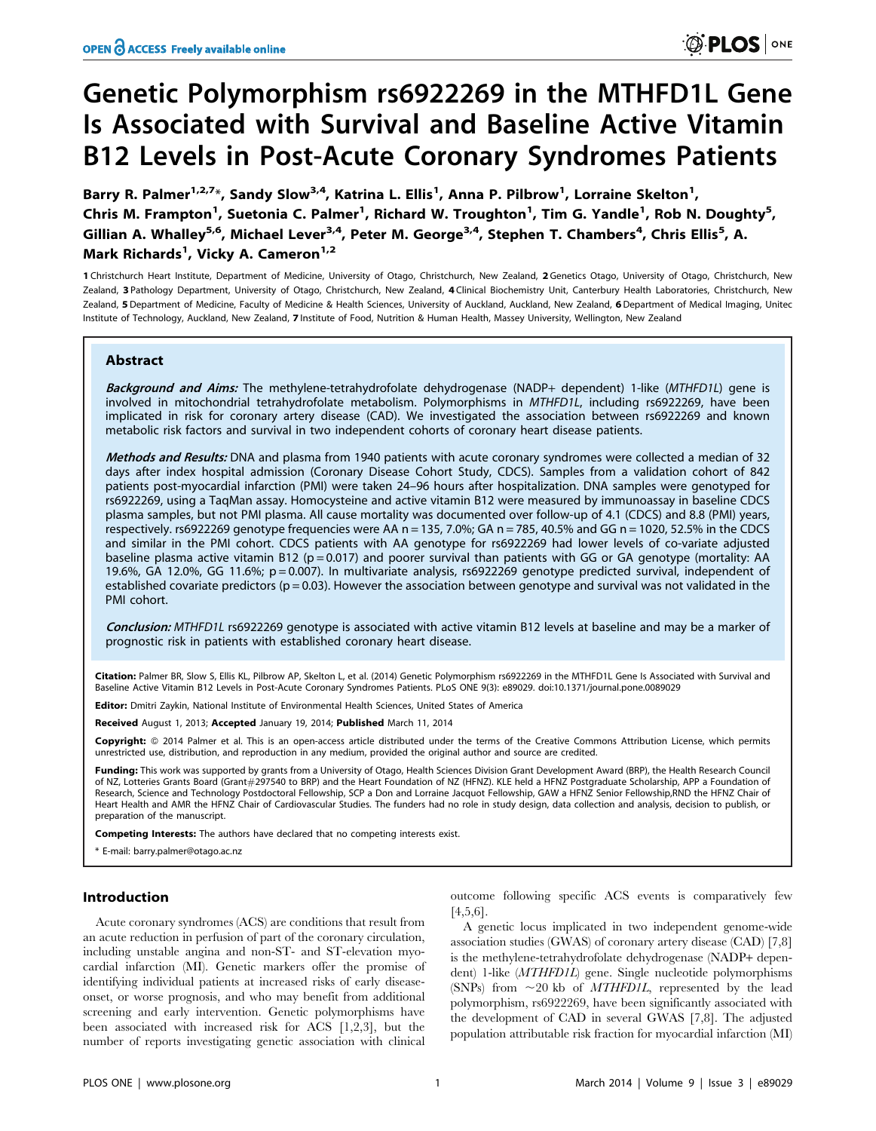# Genetic Polymorphism rs6922269 in the MTHFD1L Gene Is Associated with Survival and Baseline Active Vitamin B12 Levels in Post-Acute Coronary Syndromes Patients

Barry R. Palmer<sup>1,2,7</sup>\*, Sandy Slow<sup>3,4</sup>, Katrina L. Ellis<sup>1</sup>, Anna P. Pilbrow<sup>1</sup>, Lorraine Skelton<sup>1</sup>, Chris M. Frampton<sup>1</sup>, Suetonia C. Palmer<sup>1</sup>, Richard W. Troughton<sup>1</sup>, Tim G. Yandle<sup>1</sup>, Rob N. Doughty<sup>5</sup>, Gillian A. Whalley<sup>5,6</sup>, Michael Lever<sup>3,4</sup>, Peter M. George<sup>3,4</sup>, Stephen T. Chambers<sup>4</sup>, Chris Ellis<sup>5</sup>, A. Mark Richards<sup>1</sup>, Vicky A. Cameron<sup>1,2</sup>

1 Christchurch Heart Institute, Department of Medicine, University of Otago, Christchurch, New Zealand, 2 Genetics Otago, University of Otago, Christchurch, New Zealand, 3 Pathology Department, University of Otago, Christchurch, New Zealand, 4 Clinical Biochemistry Unit, Canterbury Health Laboratories, Christchurch, New Zealand, 5 Department of Medicine, Faculty of Medicine & Health Sciences, University of Auckland, Auckland, New Zealand, 6 Department of Medical Imaging, Unitec Institute of Technology, Auckland, New Zealand, 7 Institute of Food, Nutrition & Human Health, Massey University, Wellington, New Zealand

## Abstract

Background and Aims: The methylene-tetrahydrofolate dehydrogenase (NADP+ dependent) 1-like (MTHFD1L) gene is involved in mitochondrial tetrahydrofolate metabolism. Polymorphisms in MTHFD1L, including rs6922269, have been implicated in risk for coronary artery disease (CAD). We investigated the association between rs6922269 and known metabolic risk factors and survival in two independent cohorts of coronary heart disease patients.

Methods and Results: DNA and plasma from 1940 patients with acute coronary syndromes were collected a median of 32 days after index hospital admission (Coronary Disease Cohort Study, CDCS). Samples from a validation cohort of 842 patients post-myocardial infarction (PMI) were taken 24–96 hours after hospitalization. DNA samples were genotyped for rs6922269, using a TaqMan assay. Homocysteine and active vitamin B12 were measured by immunoassay in baseline CDCS plasma samples, but not PMI plasma. All cause mortality was documented over follow-up of 4.1 (CDCS) and 8.8 (PMI) years, respectively. rs6922269 genotype frequencies were AA n = 135, 7.0%; GA n = 785, 40.5% and GG n = 1020, 52.5% in the CDCS and similar in the PMI cohort. CDCS patients with AA genotype for rs6922269 had lower levels of co-variate adjusted baseline plasma active vitamin B12 ( $p = 0.017$ ) and poorer survival than patients with GG or GA genotype (mortality: AA 19.6%, GA 12.0%, GG 11.6%; p = 0.007). In multivariate analysis, rs6922269 genotype predicted survival, independent of established covariate predictors ( $p = 0.03$ ). However the association between genotype and survival was not validated in the PMI cohort.

Conclusion: MTHFD1L rs6922269 genotype is associated with active vitamin B12 levels at baseline and may be a marker of prognostic risk in patients with established coronary heart disease.

Citation: Palmer BR, Slow S, Ellis KL, Pilbrow AP, Skelton L, et al. (2014) Genetic Polymorphism rs6922269 in the MTHFD1L Gene Is Associated with Survival and Baseline Active Vitamin B12 Levels in Post-Acute Coronary Syndromes Patients. PLoS ONE 9(3): e89029. doi:10.1371/journal.pone.0089029

Editor: Dmitri Zaykin, National Institute of Environmental Health Sciences, United States of America

Received August 1, 2013; Accepted January 19, 2014; Published March 11, 2014

Copyright: © 2014 Palmer et al. This is an open-access article distributed under the terms of the [Creative Commons Attribution License](http://creativecommons.org/licenses/by/4.0/), which permits unrestricted use, distribution, and reproduction in any medium, provided the original author and source are credited.

**Funding:** This work was supported by grants from a University of Otago, Health Sciences Division Grant Development Award (BRP), the Health Research Council<br>of NZ, Lotteries Grants Board (Grant#297540 to BRP) and the Heart Research, Science and Technology Postdoctoral Fellowship, SCP a Don and Lorraine Jacquot Fellowship, GAW a HFNZ Senior Fellowship,RND the HFNZ Chair of Heart Health and AMR the HFNZ Chair of Cardiovascular Studies. The funders had no role in study design, data collection and analysis, decision to publish, or preparation of the manuscript.

Competing Interests: The authors have declared that no competing interests exist.

\* E-mail: barry.palmer@otago.ac.nz

# Introduction

Acute coronary syndromes (ACS) are conditions that result from an acute reduction in perfusion of part of the coronary circulation, including unstable angina and non-ST- and ST-elevation myocardial infarction (MI). Genetic markers offer the promise of identifying individual patients at increased risks of early diseaseonset, or worse prognosis, and who may benefit from additional screening and early intervention. Genetic polymorphisms have been associated with increased risk for ACS [1,2,3], but the number of reports investigating genetic association with clinical

outcome following specific ACS events is comparatively few [4,5,6].

A genetic locus implicated in two independent genome-wide association studies (GWAS) of coronary artery disease (CAD) [7,8] is the methylene-tetrahydrofolate dehydrogenase (NADP+ dependent) 1-like (MTHFD1L) gene. Single nucleotide polymorphisms (SNPs) from  $\sim$ 20 kb of *MTHFD1L*, represented by the lead polymorphism, rs6922269, have been significantly associated with the development of CAD in several GWAS [7,8]. The adjusted population attributable risk fraction for myocardial infarction (MI)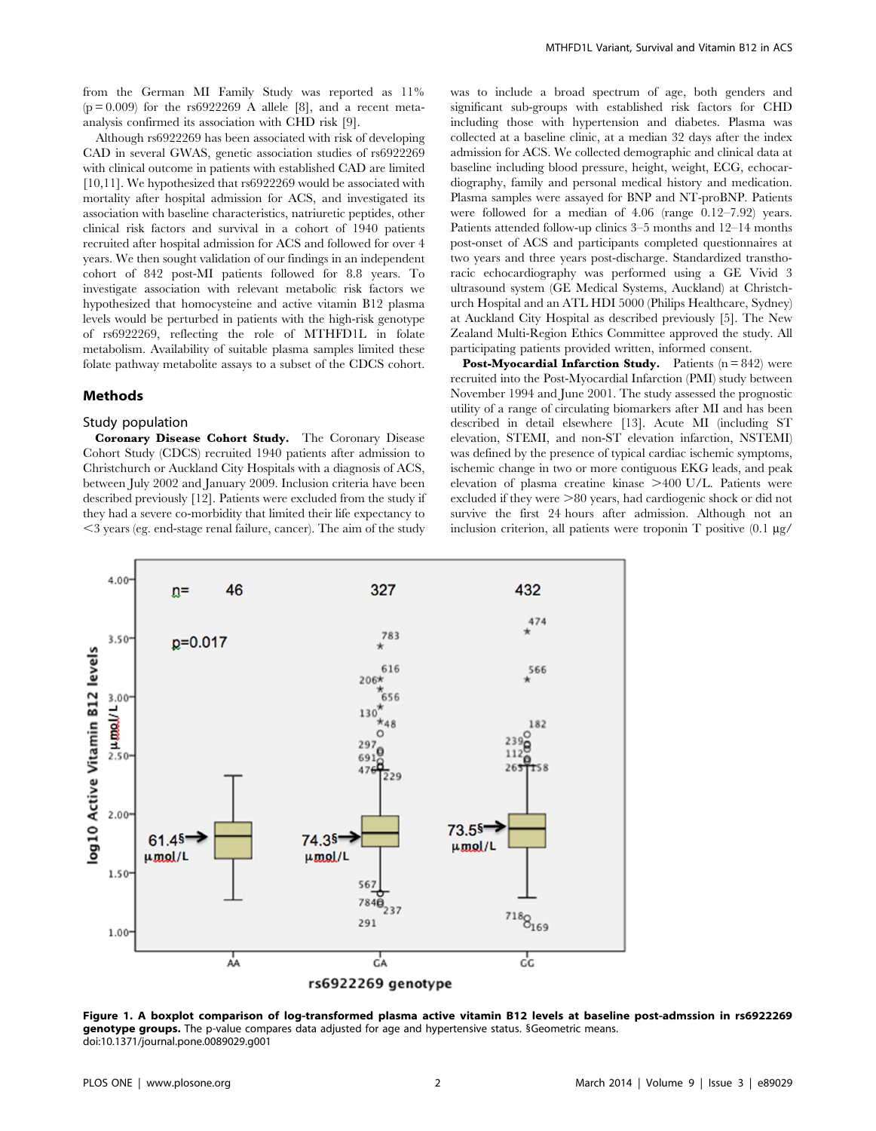from the German MI Family Study was reported as 11%  $(p=0.009)$  for the rs6922269 A allele [8], and a recent metaanalysis confirmed its association with CHD risk [9].

Although rs6922269 has been associated with risk of developing CAD in several GWAS, genetic association studies of rs6922269 with clinical outcome in patients with established CAD are limited [10,11]. We hypothesized that rs6922269 would be associated with mortality after hospital admission for ACS, and investigated its association with baseline characteristics, natriuretic peptides, other clinical risk factors and survival in a cohort of 1940 patients recruited after hospital admission for ACS and followed for over 4 years. We then sought validation of our findings in an independent cohort of 842 post-MI patients followed for 8.8 years. To investigate association with relevant metabolic risk factors we hypothesized that homocysteine and active vitamin B12 plasma levels would be perturbed in patients with the high-risk genotype of rs6922269, reflecting the role of MTHFD1L in folate metabolism. Availability of suitable plasma samples limited these folate pathway metabolite assays to a subset of the CDCS cohort.

#### Methods

#### Study population

Coronary Disease Cohort Study. The Coronary Disease Cohort Study (CDCS) recruited 1940 patients after admission to Christchurch or Auckland City Hospitals with a diagnosis of ACS, between July 2002 and January 2009. Inclusion criteria have been described previously [12]. Patients were excluded from the study if they had a severe co-morbidity that limited their life expectancy to  $\leq$  3 years (eg. end-stage renal failure, cancer). The aim of the study

was to include a broad spectrum of age, both genders and significant sub-groups with established risk factors for CHD including those with hypertension and diabetes. Plasma was collected at a baseline clinic, at a median 32 days after the index admission for ACS. We collected demographic and clinical data at baseline including blood pressure, height, weight, ECG, echocardiography, family and personal medical history and medication. Plasma samples were assayed for BNP and NT-proBNP. Patients were followed for a median of 4.06 (range 0.12–7.92) years. Patients attended follow-up clinics 3–5 months and 12–14 months post-onset of ACS and participants completed questionnaires at two years and three years post-discharge. Standardized transthoracic echocardiography was performed using a GE Vivid 3 ultrasound system (GE Medical Systems, Auckland) at Christchurch Hospital and an ATL HDI 5000 (Philips Healthcare, Sydney) at Auckland City Hospital as described previously [5]. The New Zealand Multi-Region Ethics Committee approved the study. All participating patients provided written, informed consent.

**Post-Myocardial Infarction Study.** Patients  $(n = 842)$  were recruited into the Post-Myocardial Infarction (PMI) study between November 1994 and June 2001. The study assessed the prognostic utility of a range of circulating biomarkers after MI and has been described in detail elsewhere [13]. Acute MI (including ST elevation, STEMI, and non-ST elevation infarction, NSTEMI) was defined by the presence of typical cardiac ischemic symptoms, ischemic change in two or more contiguous EKG leads, and peak elevation of plasma creatine kinase >400 U/L. Patients were excluded if they were  $>80$  years, had cardiogenic shock or did not survive the first 24 hours after admission. Although not an inclusion criterion, all patients were troponin  $T$  positive  $(0.1 \mu g)$ 



Figure 1. A boxplot comparison of log-transformed plasma active vitamin B12 levels at baseline post-admssion in rs6922269 genotype groups. The p-value compares data adjusted for age and hypertensive status. § Geometric means. doi:10.1371/journal.pone.0089029.g001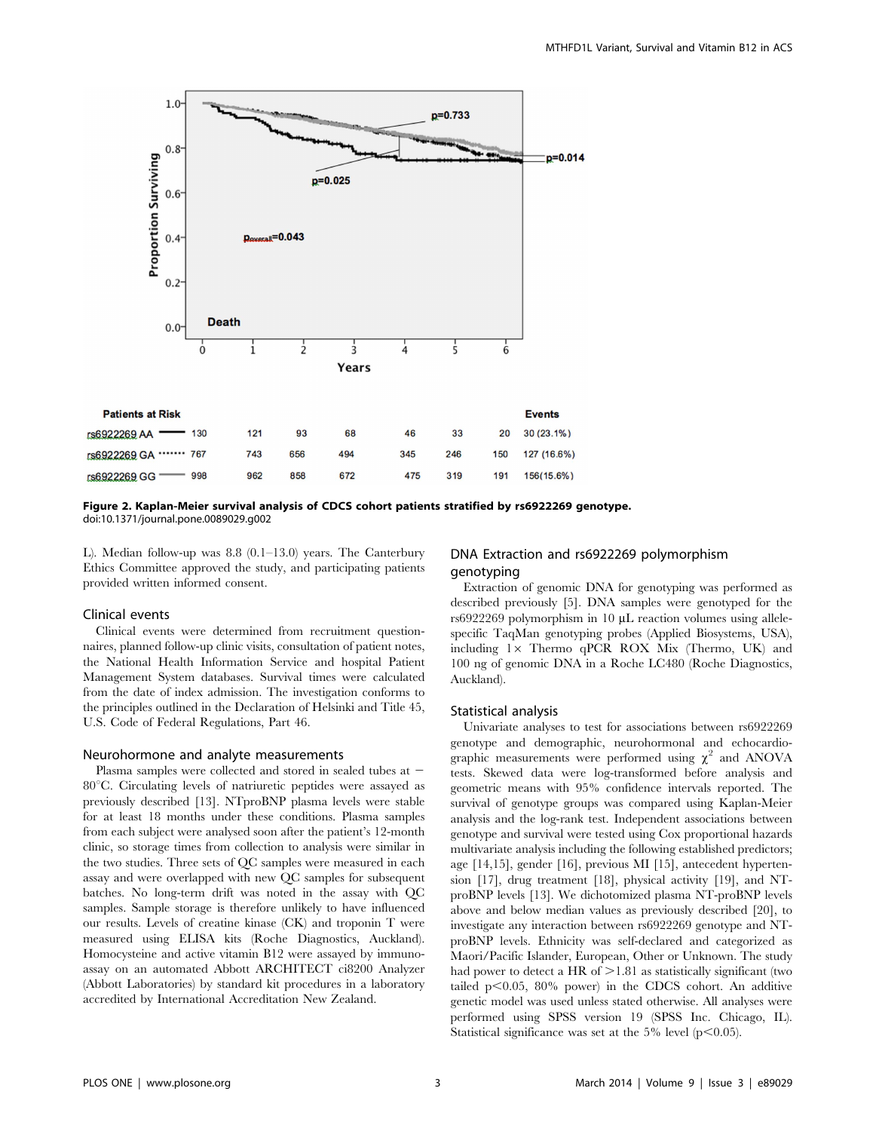

Figure 2. Kaplan-Meier survival analysis of CDCS cohort patients stratified by rs6922269 genotype. doi:10.1371/journal.pone.0089029.g002

L). Median follow-up was 8.8 (0.1–13.0) years. The Canterbury Ethics Committee approved the study, and participating patients provided written informed consent.

# Clinical events

Clinical events were determined from recruitment questionnaires, planned follow-up clinic visits, consultation of patient notes, the National Health Information Service and hospital Patient Management System databases. Survival times were calculated from the date of index admission. The investigation conforms to the principles outlined in the Declaration of Helsinki and Title 45, U.S. Code of Federal Regulations, Part 46.

## Neurohormone and analyte measurements

Plasma samples were collected and stored in sealed tubes at - $80^{\circ}$ C. Circulating levels of natriuretic peptides were assayed as previously described [13]. NTproBNP plasma levels were stable for at least 18 months under these conditions. Plasma samples from each subject were analysed soon after the patient's 12-month clinic, so storage times from collection to analysis were similar in the two studies. Three sets of QC samples were measured in each assay and were overlapped with new QC samples for subsequent batches. No long-term drift was noted in the assay with QC samples. Sample storage is therefore unlikely to have influenced our results. Levels of creatine kinase (CK) and troponin T were measured using ELISA kits (Roche Diagnostics, Auckland). Homocysteine and active vitamin B12 were assayed by immunoassay on an automated Abbott ARCHITECT ci8200 Analyzer (Abbott Laboratories) by standard kit procedures in a laboratory accredited by International Accreditation New Zealand.

# DNA Extraction and rs6922269 polymorphism genotyping

Extraction of genomic DNA for genotyping was performed as described previously [5]. DNA samples were genotyped for the rs6922269 polymorphism in 10  $\mu$ L reaction volumes using allelespecific TaqMan genotyping probes (Applied Biosystems, USA), including  $1 \times$  Thermo qPCR ROX Mix (Thermo, UK) and 100 ng of genomic DNA in a Roche LC480 (Roche Diagnostics, Auckland).

#### Statistical analysis

Univariate analyses to test for associations between rs6922269 genotype and demographic, neurohormonal and echocardiographic measurements were performed using  $\chi^2$  and ANOVA tests. Skewed data were log-transformed before analysis and geometric means with 95% confidence intervals reported. The survival of genotype groups was compared using Kaplan-Meier analysis and the log-rank test. Independent associations between genotype and survival were tested using Cox proportional hazards multivariate analysis including the following established predictors; age [14,15], gender [16], previous MI [15], antecedent hypertension [17], drug treatment [18], physical activity [19], and NTproBNP levels [13]. We dichotomized plasma NT-proBNP levels above and below median values as previously described [20], to investigate any interaction between rs6922269 genotype and NTproBNP levels. Ethnicity was self-declared and categorized as Maori/Pacific Islander, European, Other or Unknown. The study had power to detect a HR of  $>1.81$  as statistically significant (two tailed  $p<0.05$ , 80% power) in the CDCS cohort. An additive genetic model was used unless stated otherwise. All analyses were performed using SPSS version 19 (SPSS Inc. Chicago, IL). Statistical significance was set at the 5% level ( $p<0.05$ ).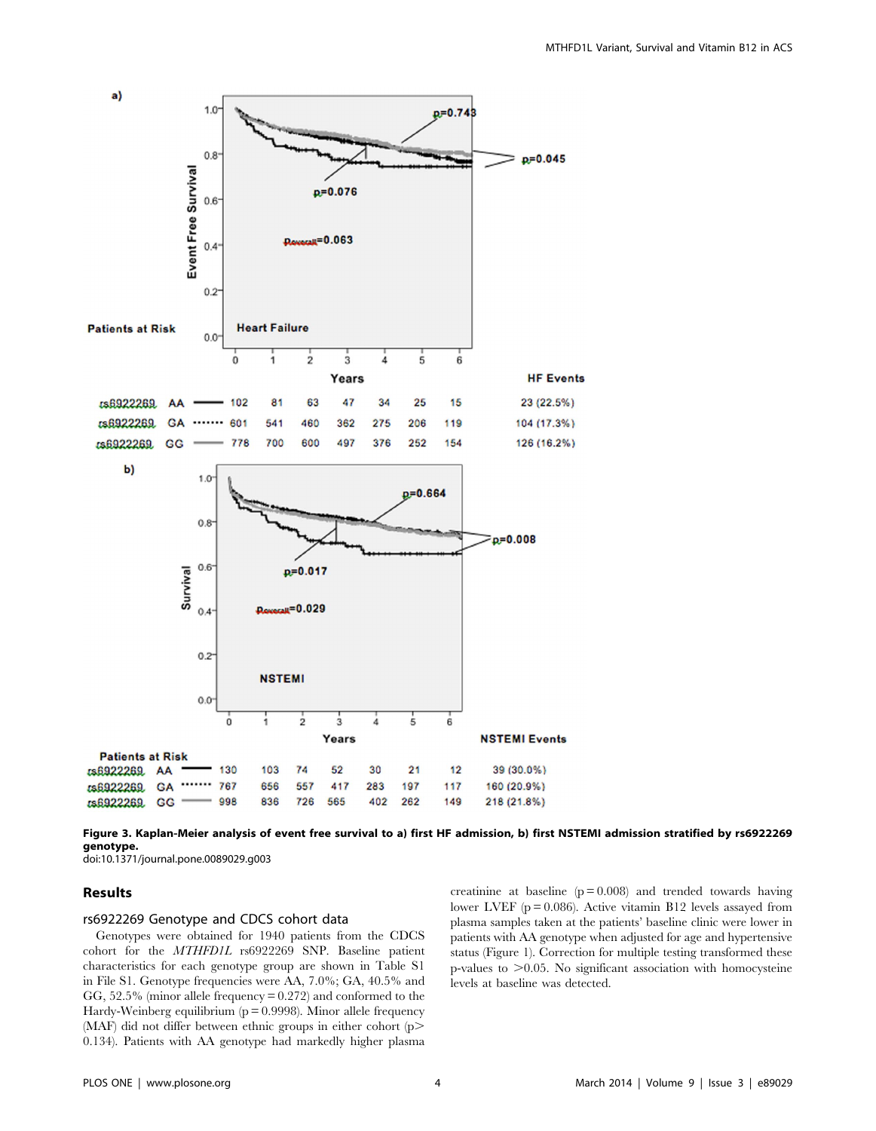

Figure 3. Kaplan-Meier analysis of event free survival to a) first HF admission, b) first NSTEMI admission stratified by rs6922269 genotype.

doi:10.1371/journal.pone.0089029.g003

#### Results

## rs6922269 Genotype and CDCS cohort data

Genotypes were obtained for 1940 patients from the CDCS cohort for the MTHFD1L rs6922269 SNP. Baseline patient characteristics for each genotype group are shown in Table S1 in File S1. Genotype frequencies were AA, 7.0%; GA, 40.5% and GG, 52.5% (minor allele frequency = 0.272) and conformed to the Hardy-Weinberg equilibrium (p = 0.9998). Minor allele frequency (MAF) did not differ between ethnic groups in either cohort (p> 0.134). Patients with AA genotype had markedly higher plasma creatinine at baseline  $(p = 0.008)$  and trended towards having lower LVEF ( $p = 0.086$ ). Active vitamin B12 levels assayed from plasma samples taken at the patients' baseline clinic were lower in patients with AA genotype when adjusted for age and hypertensive status (Figure 1). Correction for multiple testing transformed these p-values to  $>0.05$ . No significant association with homocysteine levels at baseline was detected.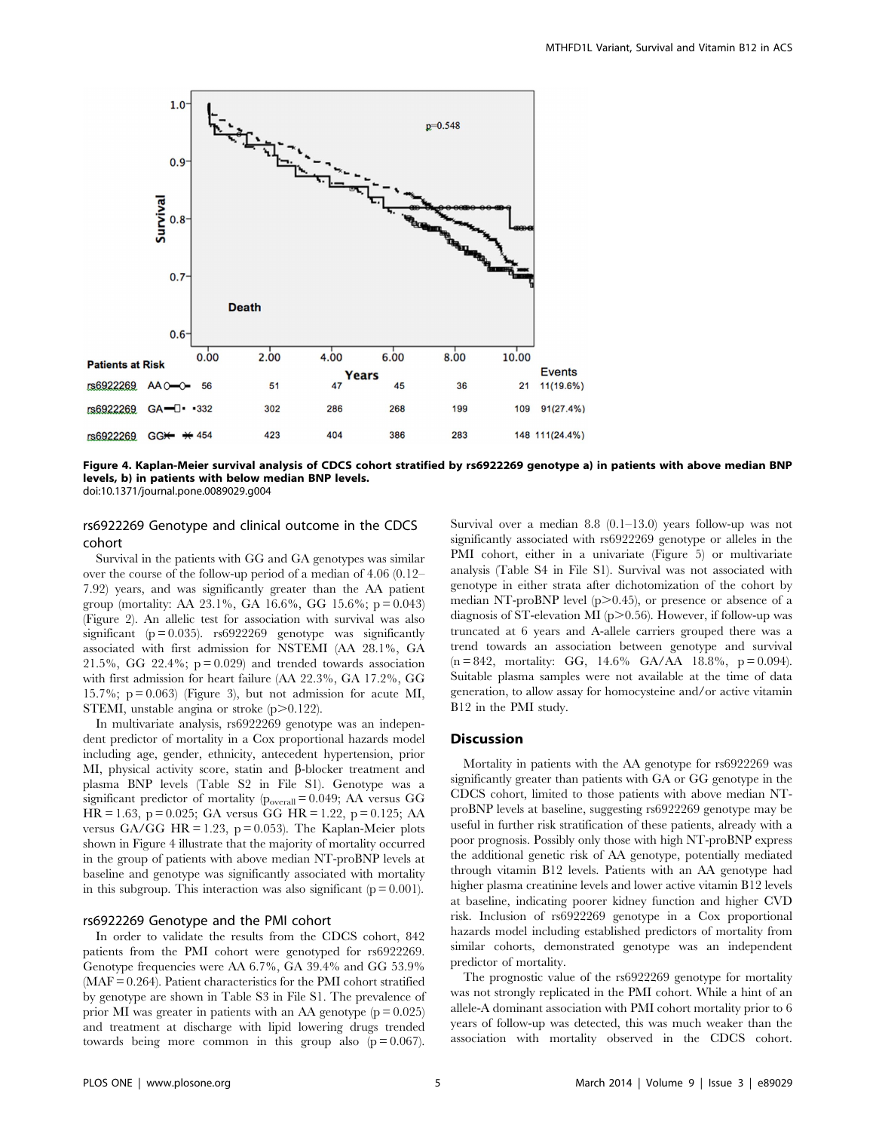

Figure 4. Kaplan-Meier survival analysis of CDCS cohort stratified by rs6922269 genotype a) in patients with above median BNP levels, b) in patients with below median BNP levels.

doi:10.1371/journal.pone.0089029.g004

# rs6922269 Genotype and clinical outcome in the CDCS cohort

Survival in the patients with GG and GA genotypes was similar over the course of the follow-up period of a median of 4.06 (0.12– 7.92) years, and was significantly greater than the AA patient group (mortality: AA 23.1%, GA 16.6%, GG 15.6%;  $p = 0.043$ ) (Figure 2). An allelic test for association with survival was also significant ( $p = 0.035$ ). rs $6922269$  genotype was significantly associated with first admission for NSTEMI (AA 28.1%, GA 21.5%, GG 22.4%;  $p = 0.029$  and trended towards association with first admission for heart failure (AA 22.3%, GA 17.2%, GG 15.7%;  $p = 0.063$  (Figure 3), but not admission for acute MI, STEMI, unstable angina or stroke  $(p>0.122)$ .

In multivariate analysis, rs6922269 genotype was an independent predictor of mortality in a Cox proportional hazards model including age, gender, ethnicity, antecedent hypertension, prior MI, physical activity score, statin and  $\beta$ -blocker treatment and plasma BNP levels (Table S2 in File S1). Genotype was a significant predictor of mortality ( $p_{overall} = 0.049$ ; AA versus GG HR = 1.63, p = 0.025; GA versus GG HR = 1.22, p = 0.125; AA versus GA/GG HR = 1.23, p = 0.053). The Kaplan-Meier plots shown in Figure 4 illustrate that the majority of mortality occurred in the group of patients with above median NT-proBNP levels at baseline and genotype was significantly associated with mortality in this subgroup. This interaction was also significant ( $p = 0.001$ ).

# rs6922269 Genotype and the PMI cohort

In order to validate the results from the CDCS cohort, 842 patients from the PMI cohort were genotyped for rs6922269. Genotype frequencies were AA 6.7%, GA 39.4% and GG 53.9% (MAF = 0.264). Patient characteristics for the PMI cohort stratified by genotype are shown in Table S3 in File S1. The prevalence of prior MI was greater in patients with an AA genotype  $(p = 0.025)$ and treatment at discharge with lipid lowering drugs trended towards being more common in this group also  $(p = 0.067)$ . Survival over a median 8.8 (0.1–13.0) years follow-up was not significantly associated with rs6922269 genotype or alleles in the PMI cohort, either in a univariate (Figure 5) or multivariate analysis (Table S4 in File S1). Survival was not associated with genotype in either strata after dichotomization of the cohort by median NT-proBNP level  $(p>0.45)$ , or presence or absence of a diagnosis of ST-elevation MI ( $p$  $>$ 0.56). However, if follow-up was truncated at 6 years and A-allele carriers grouped there was a trend towards an association between genotype and survival  $(n = 842,$  mortality: GG, 14.6% GA/AA 18.8%, p = 0.094). Suitable plasma samples were not available at the time of data generation, to allow assay for homocysteine and/or active vitamin B12 in the PMI study.

# **Discussion**

Mortality in patients with the AA genotype for rs6922269 was significantly greater than patients with GA or GG genotype in the CDCS cohort, limited to those patients with above median NTproBNP levels at baseline, suggesting rs6922269 genotype may be useful in further risk stratification of these patients, already with a poor prognosis. Possibly only those with high NT-proBNP express the additional genetic risk of AA genotype, potentially mediated through vitamin B12 levels. Patients with an AA genotype had higher plasma creatinine levels and lower active vitamin B12 levels at baseline, indicating poorer kidney function and higher CVD risk. Inclusion of rs6922269 genotype in a Cox proportional hazards model including established predictors of mortality from similar cohorts, demonstrated genotype was an independent predictor of mortality.

The prognostic value of the rs6922269 genotype for mortality was not strongly replicated in the PMI cohort. While a hint of an allele-A dominant association with PMI cohort mortality prior to 6 years of follow-up was detected, this was much weaker than the association with mortality observed in the CDCS cohort.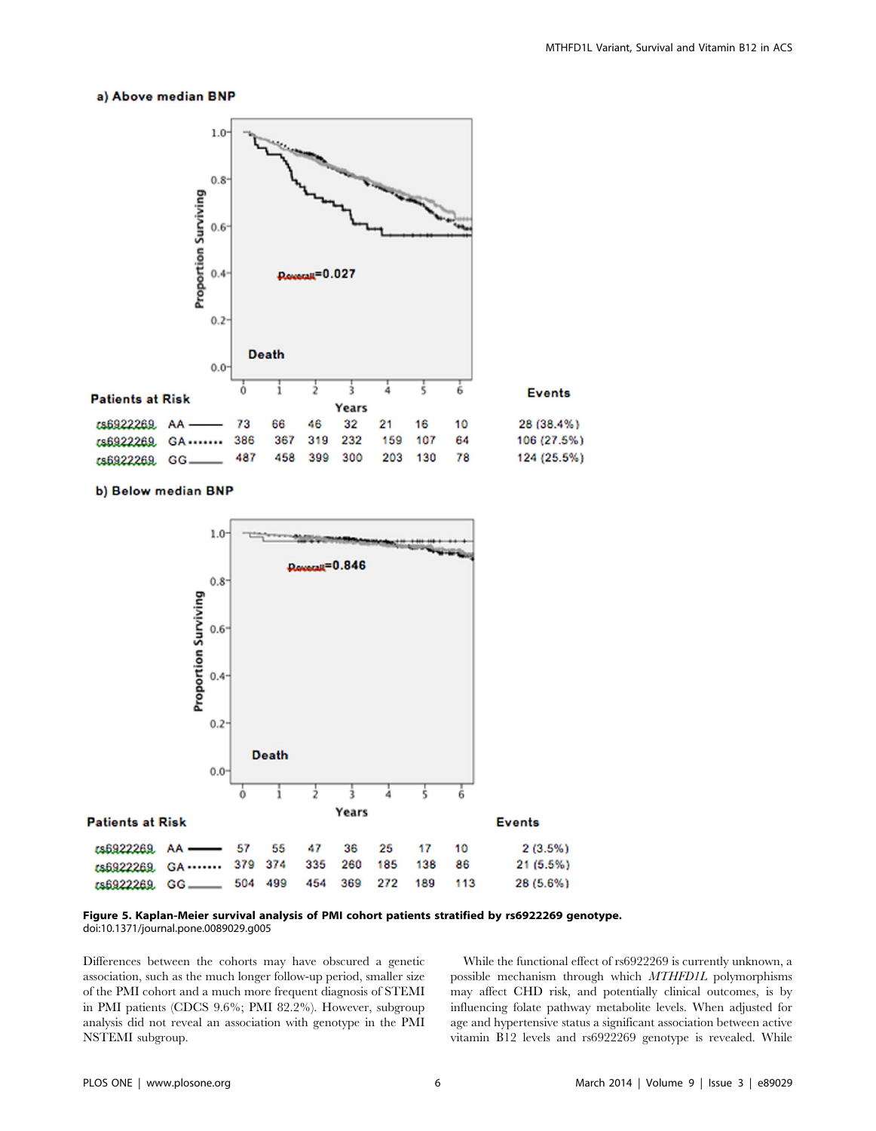#### a) Above median BNP



b) Below median BNP



Figure 5. Kaplan-Meier survival analysis of PMI cohort patients stratified by rs6922269 genotype. doi:10.1371/journal.pone.0089029.g005

Differences between the cohorts may have obscured a genetic association, such as the much longer follow-up period, smaller size of the PMI cohort and a much more frequent diagnosis of STEMI in PMI patients (CDCS 9.6%; PMI 82.2%). However, subgroup analysis did not reveal an association with genotype in the PMI NSTEMI subgroup.

While the functional effect of rs6922269 is currently unknown, a possible mechanism through which MTHFD1L polymorphisms may affect CHD risk, and potentially clinical outcomes, is by influencing folate pathway metabolite levels. When adjusted for age and hypertensive status a significant association between active vitamin B12 levels and rs6922269 genotype is revealed. While